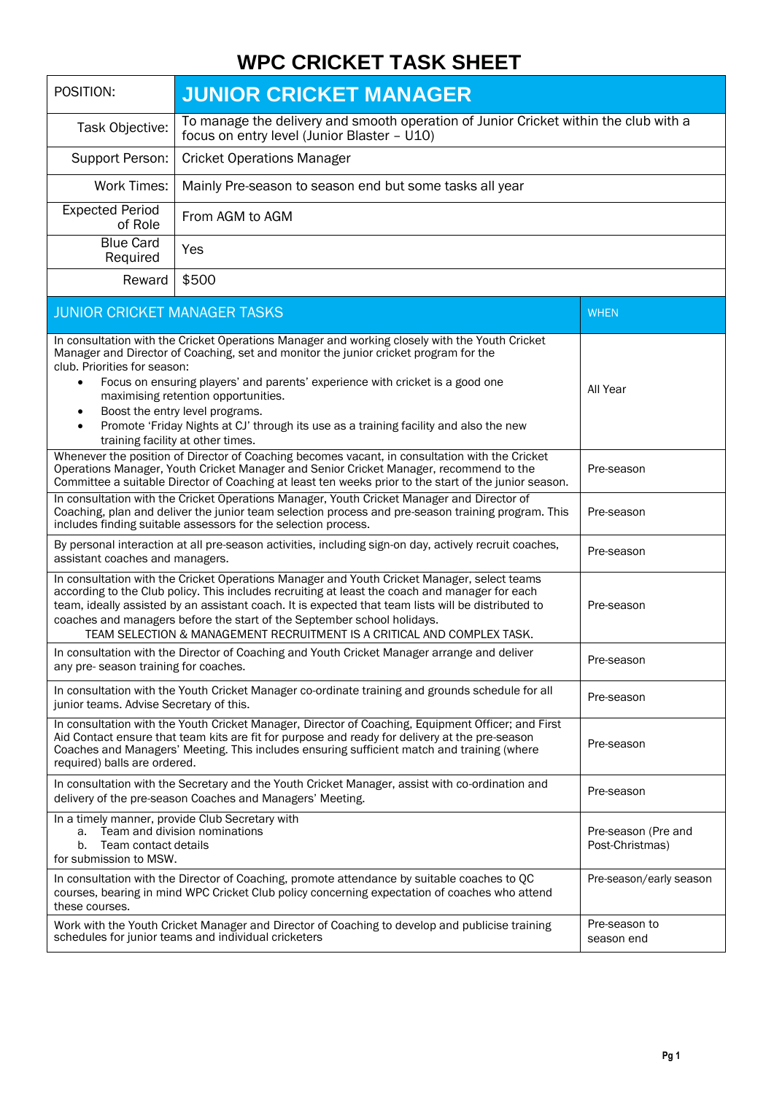## **WPC CRICKET TASK SHEET**

| POSITION:                                                                                                                                                                                                                                                                                                                                                                                                                                                                                                                    | <b>JUNIOR CRICKET MANAGER</b>                                                                                                                                                                |                                        |  |
|------------------------------------------------------------------------------------------------------------------------------------------------------------------------------------------------------------------------------------------------------------------------------------------------------------------------------------------------------------------------------------------------------------------------------------------------------------------------------------------------------------------------------|----------------------------------------------------------------------------------------------------------------------------------------------------------------------------------------------|----------------------------------------|--|
| Task Objective:                                                                                                                                                                                                                                                                                                                                                                                                                                                                                                              | To manage the delivery and smooth operation of Junior Cricket within the club with a<br>focus on entry level (Junior Blaster - U10)                                                          |                                        |  |
| Support Person:                                                                                                                                                                                                                                                                                                                                                                                                                                                                                                              | <b>Cricket Operations Manager</b>                                                                                                                                                            |                                        |  |
| <b>Work Times:</b>                                                                                                                                                                                                                                                                                                                                                                                                                                                                                                           | Mainly Pre-season to season end but some tasks all year                                                                                                                                      |                                        |  |
| <b>Expected Period</b><br>of Role                                                                                                                                                                                                                                                                                                                                                                                                                                                                                            | From AGM to AGM                                                                                                                                                                              |                                        |  |
| <b>Blue Card</b><br>Required                                                                                                                                                                                                                                                                                                                                                                                                                                                                                                 | Yes                                                                                                                                                                                          |                                        |  |
| Reward                                                                                                                                                                                                                                                                                                                                                                                                                                                                                                                       | \$500                                                                                                                                                                                        |                                        |  |
| JUNIOR CRICKET MANAGER TASKS                                                                                                                                                                                                                                                                                                                                                                                                                                                                                                 |                                                                                                                                                                                              | <b>WHEN</b>                            |  |
| In consultation with the Cricket Operations Manager and working closely with the Youth Cricket<br>Manager and Director of Coaching, set and monitor the junior cricket program for the<br>club. Priorities for season:<br>Focus on ensuring players' and parents' experience with cricket is a good one<br>$\bullet$<br>maximising retention opportunities.<br>Boost the entry level programs.<br>Promote 'Friday Nights at CJ' through its use as a training facility and also the new<br>training facility at other times. |                                                                                                                                                                                              | All Year                               |  |
| Whenever the position of Director of Coaching becomes vacant, in consultation with the Cricket<br>Operations Manager, Youth Cricket Manager and Senior Cricket Manager, recommend to the<br>Committee a suitable Director of Coaching at least ten weeks prior to the start of the junior season.                                                                                                                                                                                                                            |                                                                                                                                                                                              | Pre-season                             |  |
| In consultation with the Cricket Operations Manager, Youth Cricket Manager and Director of<br>Coaching, plan and deliver the junior team selection process and pre-season training program. This<br>includes finding suitable assessors for the selection process.                                                                                                                                                                                                                                                           |                                                                                                                                                                                              | Pre-season                             |  |
| By personal interaction at all pre-season activities, including sign-on day, actively recruit coaches,<br>assistant coaches and managers.                                                                                                                                                                                                                                                                                                                                                                                    |                                                                                                                                                                                              | Pre-season                             |  |
| In consultation with the Cricket Operations Manager and Youth Cricket Manager, select teams<br>according to the Club policy. This includes recruiting at least the coach and manager for each<br>team, ideally assisted by an assistant coach. It is expected that team lists will be distributed to<br>coaches and managers before the start of the September school holidays.<br>TEAM SELECTION & MANAGEMENT RECRUITMENT IS A CRITICAL AND COMPLEX TASK.                                                                   |                                                                                                                                                                                              | Pre-season                             |  |
| any pre-season training for coaches.                                                                                                                                                                                                                                                                                                                                                                                                                                                                                         | In consultation with the Director of Coaching and Youth Cricket Manager arrange and deliver                                                                                                  | Pre-season                             |  |
| junior teams. Advise Secretary of this.                                                                                                                                                                                                                                                                                                                                                                                                                                                                                      | In consultation with the Youth Cricket Manager co-ordinate training and grounds schedule for all                                                                                             | Pre-season                             |  |
| In consultation with the Youth Cricket Manager, Director of Coaching, Equipment Officer; and First<br>Aid Contact ensure that team kits are fit for purpose and ready for delivery at the pre-season<br>Coaches and Managers' Meeting. This includes ensuring sufficient match and training (where<br>required) balls are ordered.                                                                                                                                                                                           |                                                                                                                                                                                              | Pre-season                             |  |
|                                                                                                                                                                                                                                                                                                                                                                                                                                                                                                                              | In consultation with the Secretary and the Youth Cricket Manager, assist with co-ordination and<br>delivery of the pre-season Coaches and Managers' Meeting.                                 | Pre-season                             |  |
| а.<br>Team contact details<br>b.<br>for submission to MSW.                                                                                                                                                                                                                                                                                                                                                                                                                                                                   | In a timely manner, provide Club Secretary with<br>Team and division nominations                                                                                                             | Pre-season (Pre and<br>Post-Christmas) |  |
| these courses.                                                                                                                                                                                                                                                                                                                                                                                                                                                                                                               | In consultation with the Director of Coaching, promote attendance by suitable coaches to QC<br>courses, bearing in mind WPC Cricket Club policy concerning expectation of coaches who attend | Pre-season/early season                |  |
| Work with the Youth Cricket Manager and Director of Coaching to develop and publicise training<br>schedules for junior teams and individual cricketers                                                                                                                                                                                                                                                                                                                                                                       |                                                                                                                                                                                              | Pre-season to<br>season end            |  |